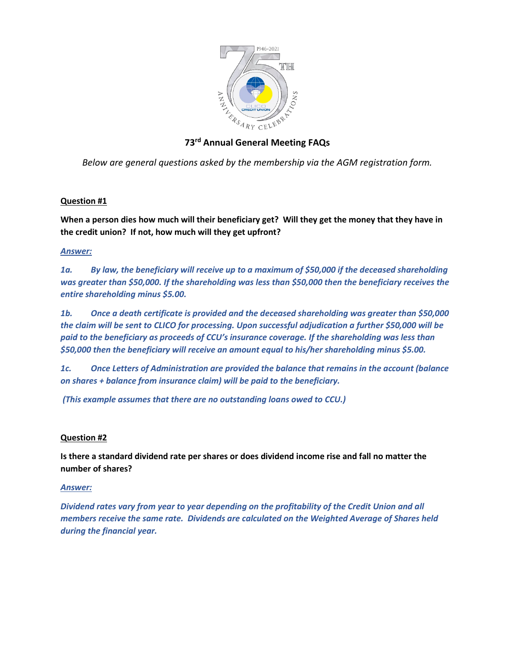

# **73rd Annual General Meeting FAQs**

*Below are general questions asked by the membership via the AGM registration form.* 

## **Question #1**

**When a person dies how much will their beneficiary get? Will they get the money that they have in the credit union? If not, how much will they get upfront?**

## *Answer:*

*1a. By law, the beneficiary will receive up to a maximum of \$50,000 if the deceased shareholding was greater than \$50,000. If the shareholding was less than \$50,000 then the beneficiary receives the entire shareholding minus \$5.00.*

*1b. Once a death certificate is provided and the deceased shareholding was greater than \$50,000 the claim will be sent to CLICO for processing. Upon successful adjudication a further \$50,000 will be paid to the beneficiary as proceeds of CCU's insurance coverage. If the shareholding was less than \$50,000 then the beneficiary will receive an amount equal to his/her shareholding minus \$5.00.*

*1c. Once Letters of Administration are provided the balance that remains in the account (balance on shares + balance from insurance claim) will be paid to the beneficiary.* 

*(This example assumes that there are no outstanding loans owed to CCU.)* 

## **Question #2**

**Is there a standard dividend rate per shares or does dividend income rise and fall no matter the number of shares?**

## *Answer:*

*Dividend rates vary from year to year depending on the profitability of the Credit Union and all members receive the same rate. Dividends are calculated on the Weighted Average of Shares held during the financial year.*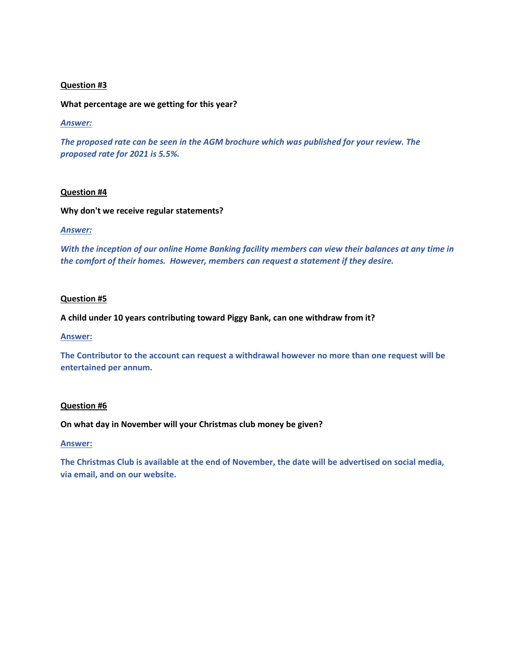## **Question #3**

**What percentage are we getting for this year?** 

### *Answer:*

*The proposed rate can be seen in the AGM brochure which was published for your review. The proposed rate for 2021 is 5.5%.* 

## **Question #4**

#### **Why don't we receive regular statements?**

#### *Answer:*

*With the inception of our online Home Banking facility members can view their balances at any time in the comfort of their homes. However, members can request a statement if they desire.*

#### **Question #5**

**A child under 10 years contributing toward Piggy Bank, can one withdraw from it?**

#### **Answer:**

**The Contributor to the account can request a withdrawal however no more than one request will be entertained per annum.**

#### **Question #6**

**On what day in November will your Christmas club money be given?**

#### **Answer:**

**The Christmas Club is available at the end of November, the date will be advertised on social media, via email, and on our website.**